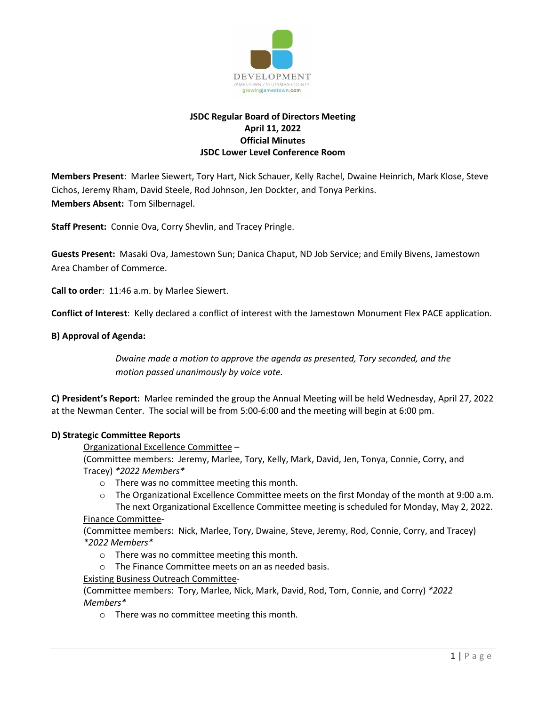

# **JSDC Regular Board of Directors Meeting April 11, 2022 Official Minutes JSDC Lower Level Conference Room**

**Members Present**: Marlee Siewert, Tory Hart, Nick Schauer, Kelly Rachel, Dwaine Heinrich, Mark Klose, Steve Cichos, Jeremy Rham, David Steele, Rod Johnson, Jen Dockter, and Tonya Perkins. **Members Absent:** Tom Silbernagel.

**Staff Present:** Connie Ova, Corry Shevlin, and Tracey Pringle.

**Guests Present:** Masaki Ova, Jamestown Sun; Danica Chaput, ND Job Service; and Emily Bivens, Jamestown Area Chamber of Commerce.

**Call to order**: 11:46 a.m. by Marlee Siewert.

**Conflict of Interest**: Kelly declared a conflict of interest with the Jamestown Monument Flex PACE application.

### **B) Approval of Agenda:**

*Dwaine made a motion to approve the agenda as presented, Tory seconded, and the motion passed unanimously by voice vote.* 

**C) President's Report:** Marlee reminded the group the Annual Meeting will be held Wednesday, April 27, 2022 at the Newman Center. The social will be from 5:00-6:00 and the meeting will begin at 6:00 pm.

### **D) Strategic Committee Reports**

Organizational Excellence Committee –

(Committee members: Jeremy, Marlee, Tory, Kelly, Mark, David, Jen, Tonya, Connie, Corry, and Tracey) *\*2022 Members\**

- o There was no committee meeting this month.
- o The Organizational Excellence Committee meets on the first Monday of the month at 9:00 a.m. The next Organizational Excellence Committee meeting is scheduled for Monday, May 2, 2022.

### Finance Committee-

(Committee members: Nick, Marlee, Tory, Dwaine, Steve, Jeremy, Rod, Connie, Corry, and Tracey) *\*2022 Members\**

- o There was no committee meeting this month.
- o The Finance Committee meets on an as needed basis.

### Existing Business Outreach Committee-

(Committee members: Tory, Marlee, Nick, Mark, David, Rod, Tom, Connie, and Corry) *\*2022 Members\**

o There was no committee meeting this month.